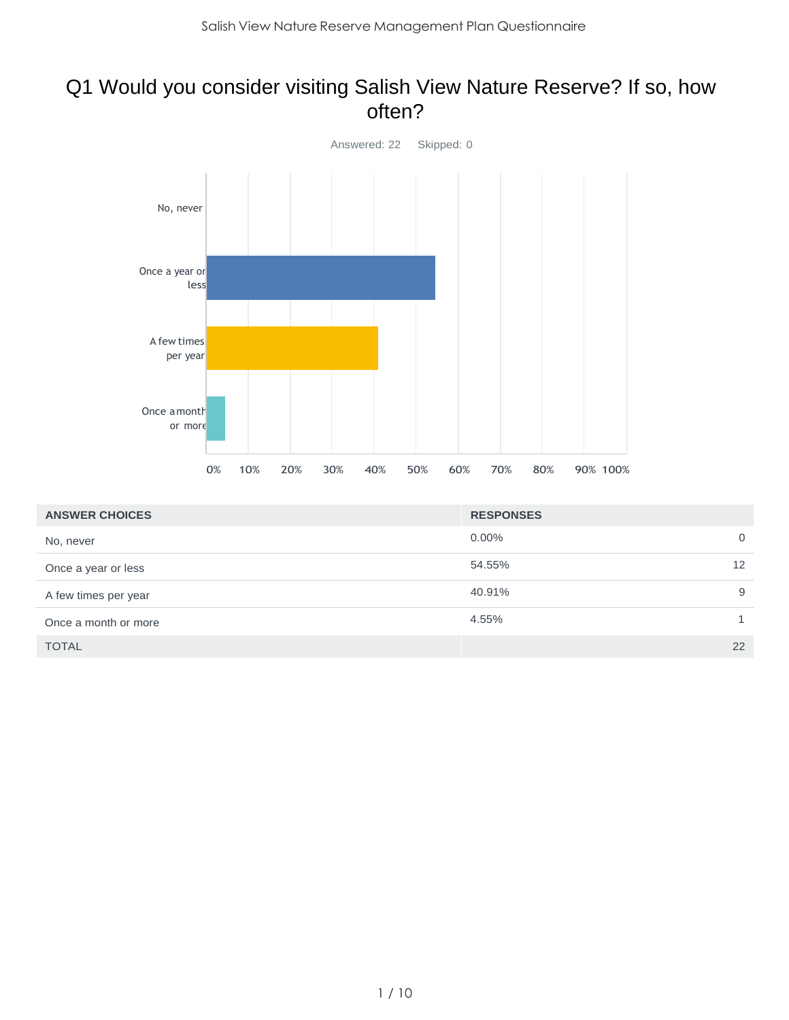#### Q1 Would you consider visiting Salish View Nature Reserve? If so, how often?



| <b>ANSWER CHOICES</b> | <b>RESPONSES</b> |                   |
|-----------------------|------------------|-------------------|
| No, never             | $0.00\%$         | $\mathbf 0$       |
| Once a year or less   | 54.55%           | $12 \overline{ }$ |
| A few times per year  | 40.91%           | 9                 |
| Once a month or more  | 4.55%            |                   |
| <b>TOTAL</b>          |                  | 22                |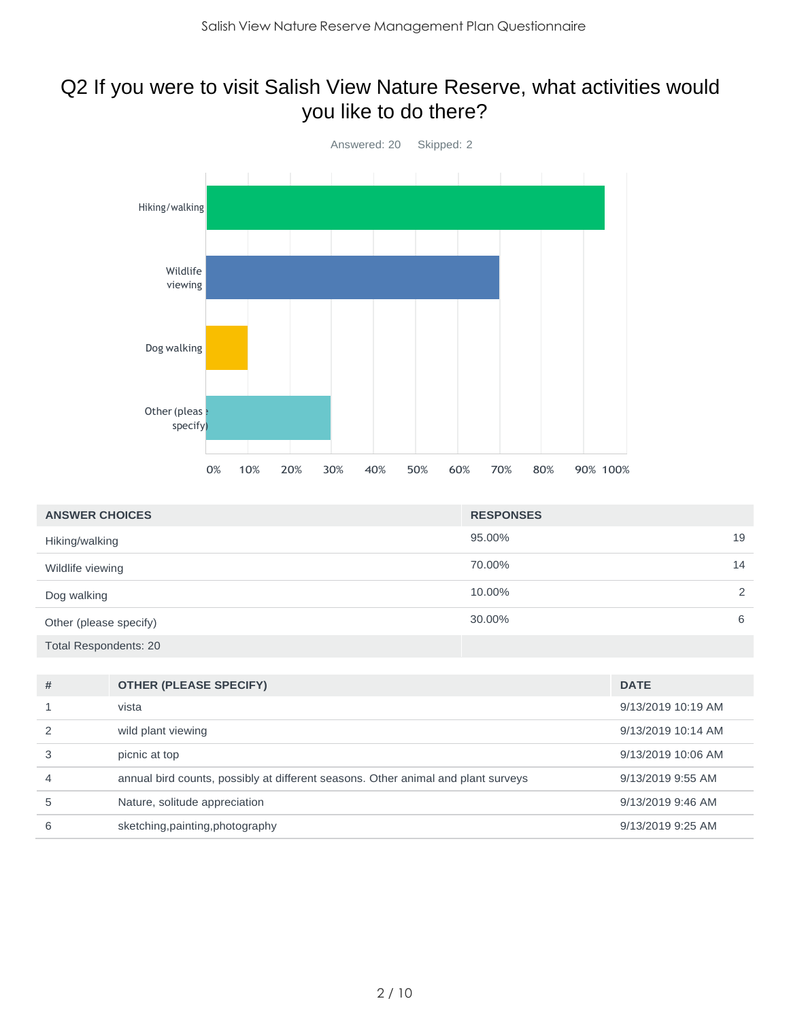## Q2 If you were to visit Salish View Nature Reserve, what activities would you like to do there?



| <b>ANSWER CHOICES</b>        | <b>RESPONSES</b> |    |
|------------------------------|------------------|----|
| Hiking/walking               | 95.00%           | 19 |
| Wildlife viewing             | 70.00%           | 14 |
| Dog walking                  | 10.00%           | 2  |
| Other (please specify)       | 30.00%           | 6  |
| <b>Total Respondents: 20</b> |                  |    |

| #             | <b>OTHER (PLEASE SPECIFY)</b>                                                     | <b>DATE</b>         |
|---------------|-----------------------------------------------------------------------------------|---------------------|
|               | vista                                                                             | 9/13/2019 10:19 AM  |
| $\mathcal{P}$ | wild plant viewing                                                                | 9/13/2019 10:14 AM  |
| 3             | picnic at top                                                                     | 9/13/2019 10:06 AM  |
| 4             | annual bird counts, possibly at different seasons. Other animal and plant surveys | 9/13/2019 9:55 AM   |
| 5             | Nature, solitude appreciation                                                     | $9/13/2019$ 9:46 AM |
| 6             | sketching, painting, photography                                                  | 9/13/2019 9:25 AM   |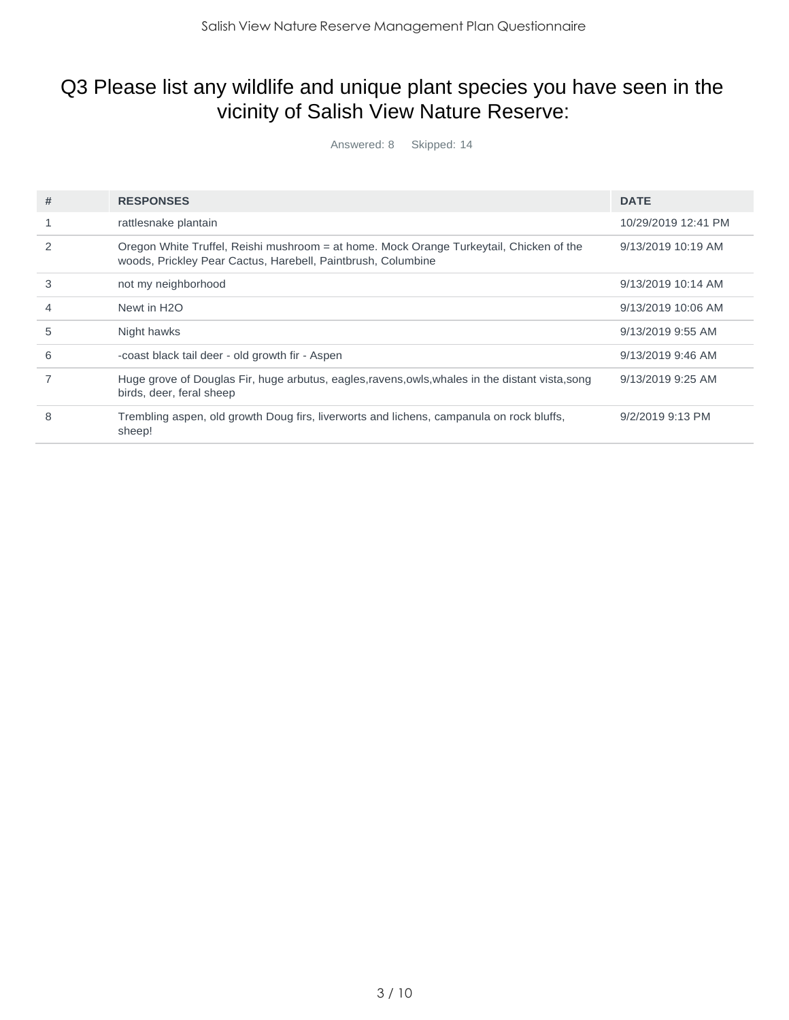# Q3 Please list any wildlife and unique plant species you have seen in the vicinity of Salish View Nature Reserve:

Answered: 8 Skipped: 14

| # | <b>RESPONSES</b>                                                                                                                                        | <b>DATE</b>         |
|---|---------------------------------------------------------------------------------------------------------------------------------------------------------|---------------------|
|   | rattlesnake plantain                                                                                                                                    | 10/29/2019 12:41 PM |
| 2 | Oregon White Truffel, Reishi mushroom = at home. Mock Orange Turkeytail, Chicken of the<br>woods, Prickley Pear Cactus, Harebell, Paintbrush, Columbine | 9/13/2019 10:19 AM  |
| 3 | not my neighborhood                                                                                                                                     | 9/13/2019 10:14 AM  |
| 4 | Newt in H <sub>2</sub> O                                                                                                                                | 9/13/2019 10:06 AM  |
| 5 | Night hawks                                                                                                                                             | 9/13/2019 9:55 AM   |
| 6 | -coast black tail deer - old growth fir - Aspen                                                                                                         | 9/13/2019 9:46 AM   |
|   | Huge grove of Douglas Fir, huge arbutus, eagles, ravens, owls, whales in the distant vista, song<br>birds, deer, feral sheep                            | 9/13/2019 9:25 AM   |
| 8 | Trembling aspen, old growth Doug firs, liverworts and lichens, campanula on rock bluffs,<br>sheep!                                                      | $9/2/2019$ 9:13 PM  |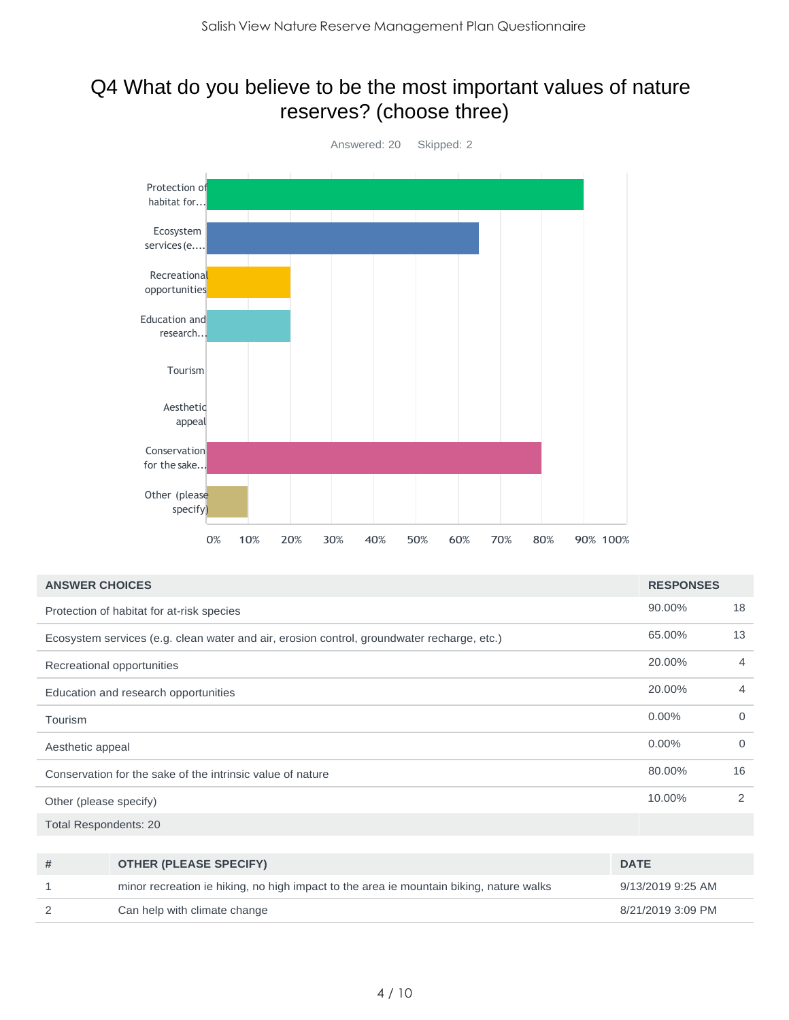#### Q4 What do you believe to be the most important values of nature reserves? (choose three)



| <b>ANSWER CHOICES</b>                                                                      | <b>RESPONSES</b> |                |
|--------------------------------------------------------------------------------------------|------------------|----------------|
| Protection of habitat for at-risk species                                                  | 90.00%           | 18             |
| Ecosystem services (e.g. clean water and air, erosion control, groundwater recharge, etc.) | 65.00%           | 13             |
| Recreational opportunities                                                                 | 20.00%           | $\overline{4}$ |
| Education and research opportunities                                                       | 20.00%           | $\overline{4}$ |
| Tourism                                                                                    | $0.00\%$         | $\Omega$       |
| Aesthetic appeal                                                                           | $0.00\%$         | $\Omega$       |
| Conservation for the sake of the intrinsic value of nature                                 | 80.00%           | 16             |
| Other (please specify)                                                                     | 10.00%           | 2              |
| <b>Total Respondents: 20</b>                                                               |                  |                |

| # | <b>OTHER (PLEASE SPECIFY)</b>                                                           | <b>DATE</b>       |
|---|-----------------------------------------------------------------------------------------|-------------------|
|   | minor recreation ie hiking, no high impact to the area ie mountain biking, nature walks | 9/13/2019 9:25 AM |
|   | Can help with climate change                                                            | 8/21/2019 3:09 PM |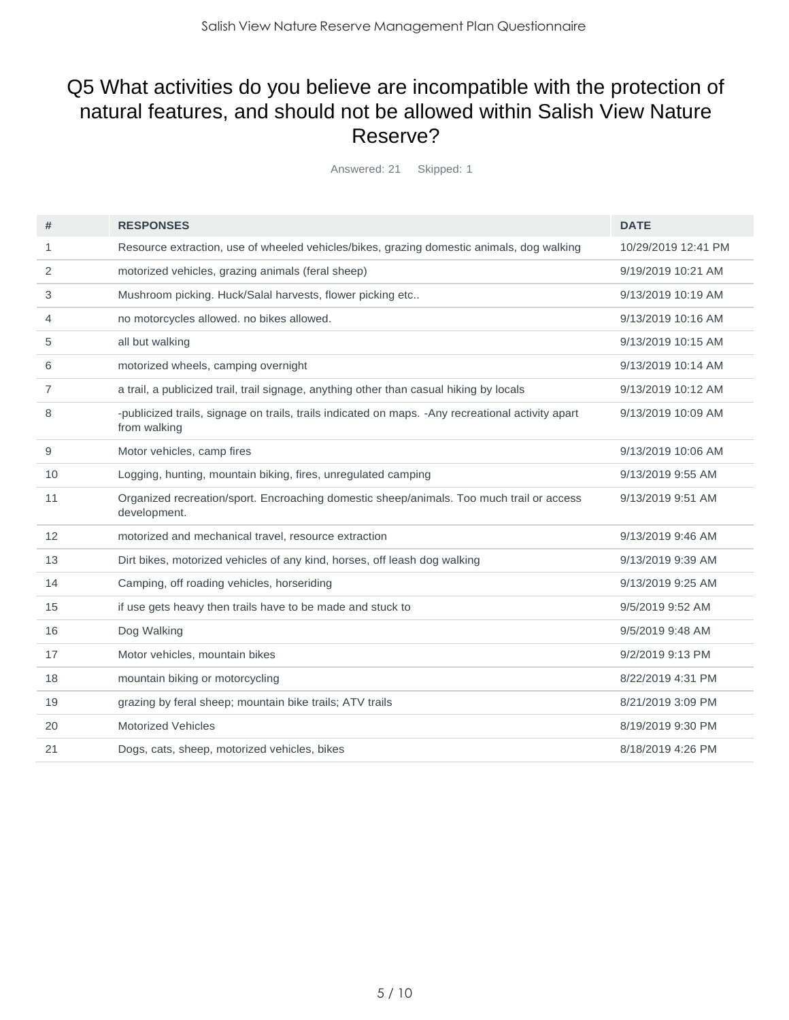### Q5 What activities do you believe are incompatible with the protection of natural features, and should not be allowed within Salish View Nature Reserve?

Answered: 21 Skipped: 1

| #              | <b>RESPONSES</b>                                                                                                  | <b>DATE</b>         |
|----------------|-------------------------------------------------------------------------------------------------------------------|---------------------|
| 1              | Resource extraction, use of wheeled vehicles/bikes, grazing domestic animals, dog walking                         | 10/29/2019 12:41 PM |
| 2              | motorized vehicles, grazing animals (feral sheep)                                                                 | 9/19/2019 10:21 AM  |
| 3              | Mushroom picking. Huck/Salal harvests, flower picking etc                                                         | 9/13/2019 10:19 AM  |
| 4              | no motorcycles allowed, no bikes allowed.                                                                         | 9/13/2019 10:16 AM  |
| 5              | all but walking                                                                                                   | 9/13/2019 10:15 AM  |
| 6              | motorized wheels, camping overnight                                                                               | 9/13/2019 10:14 AM  |
| $\overline{7}$ | a trail, a publicized trail, trail signage, anything other than casual hiking by locals                           | 9/13/2019 10:12 AM  |
| 8              | -publicized trails, signage on trails, trails indicated on maps. -Any recreational activity apart<br>from walking | 9/13/2019 10:09 AM  |
| 9              | Motor vehicles, camp fires                                                                                        | 9/13/2019 10:06 AM  |
| 10             | Logging, hunting, mountain biking, fires, unregulated camping                                                     | 9/13/2019 9:55 AM   |
| 11             | Organized recreation/sport. Encroaching domestic sheep/animals. Too much trail or access<br>development.          | 9/13/2019 9:51 AM   |
| 12             | motorized and mechanical travel, resource extraction                                                              | 9/13/2019 9:46 AM   |
| 13             | Dirt bikes, motorized vehicles of any kind, horses, off leash dog walking                                         | 9/13/2019 9:39 AM   |
| 14             | Camping, off roading vehicles, horseriding                                                                        | 9/13/2019 9:25 AM   |
| 15             | if use gets heavy then trails have to be made and stuck to                                                        | 9/5/2019 9:52 AM    |
| 16             | Dog Walking                                                                                                       | 9/5/2019 9:48 AM    |
| 17             | Motor vehicles, mountain bikes                                                                                    | 9/2/2019 9:13 PM    |
| 18             | mountain biking or motorcycling                                                                                   | 8/22/2019 4:31 PM   |
| 19             | grazing by feral sheep; mountain bike trails; ATV trails                                                          | 8/21/2019 3:09 PM   |
| 20             | <b>Motorized Vehicles</b>                                                                                         | 8/19/2019 9:30 PM   |
| 21             | Dogs, cats, sheep, motorized vehicles, bikes                                                                      | 8/18/2019 4:26 PM   |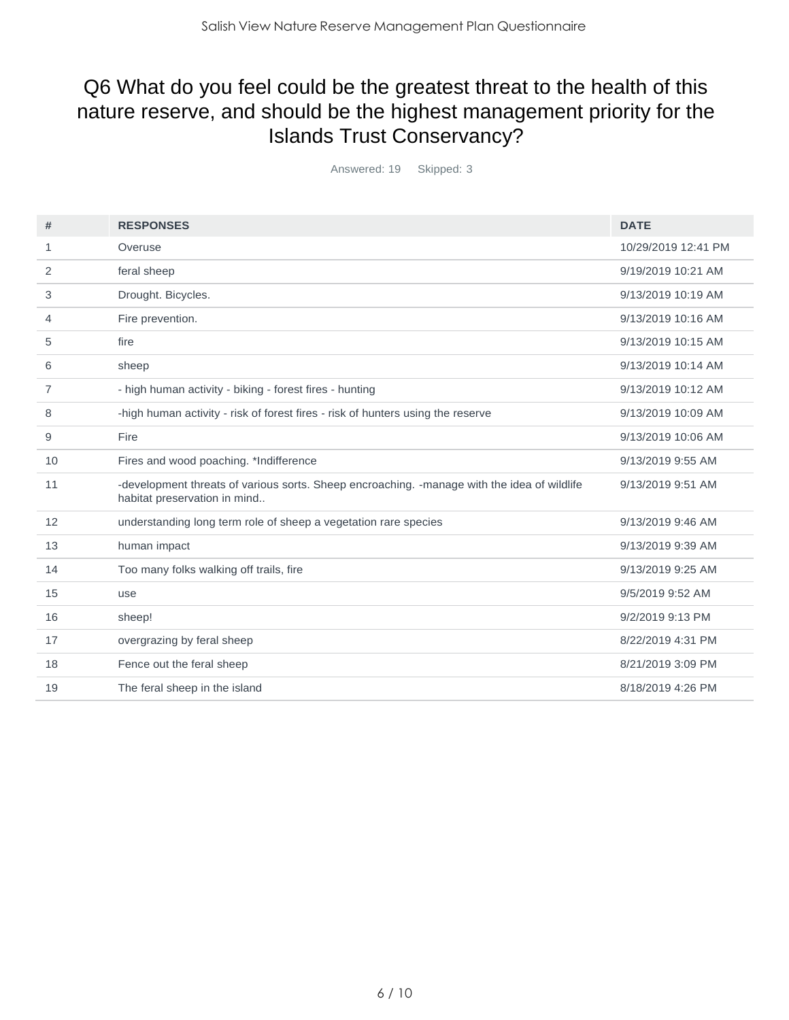# Q6 What do you feel could be the greatest threat to the health of this nature reserve, and should be the highest management priority for the Islands Trust Conservancy?

Answered: 19 Skipped: 3

| #  | <b>RESPONSES</b>                                                                                                            | <b>DATE</b>         |
|----|-----------------------------------------------------------------------------------------------------------------------------|---------------------|
| 1  | Overuse                                                                                                                     | 10/29/2019 12:41 PM |
| 2  | feral sheep                                                                                                                 | 9/19/2019 10:21 AM  |
| 3  | Drought. Bicycles.                                                                                                          | 9/13/2019 10:19 AM  |
| 4  | Fire prevention.                                                                                                            | 9/13/2019 10:16 AM  |
| 5  | fire                                                                                                                        | 9/13/2019 10:15 AM  |
| 6  | sheep                                                                                                                       | 9/13/2019 10:14 AM  |
| 7  | - high human activity - biking - forest fires - hunting                                                                     | 9/13/2019 10:12 AM  |
| 8  | -high human activity - risk of forest fires - risk of hunters using the reserve                                             | 9/13/2019 10:09 AM  |
| 9  | Fire                                                                                                                        | 9/13/2019 10:06 AM  |
| 10 | Fires and wood poaching. *Indifference                                                                                      | 9/13/2019 9:55 AM   |
| 11 | -development threats of various sorts. Sheep encroaching. -manage with the idea of wildlife<br>habitat preservation in mind | 9/13/2019 9:51 AM   |
| 12 | understanding long term role of sheep a vegetation rare species                                                             | 9/13/2019 9:46 AM   |
| 13 | human impact                                                                                                                | 9/13/2019 9:39 AM   |
| 14 | Too many folks walking off trails, fire                                                                                     | 9/13/2019 9:25 AM   |
| 15 | use                                                                                                                         | 9/5/2019 9:52 AM    |
| 16 | sheep!                                                                                                                      | 9/2/2019 9:13 PM    |
| 17 | overgrazing by feral sheep                                                                                                  | 8/22/2019 4:31 PM   |
| 18 | Fence out the feral sheep                                                                                                   | 8/21/2019 3:09 PM   |
| 19 | The feral sheep in the island                                                                                               | 8/18/2019 4:26 PM   |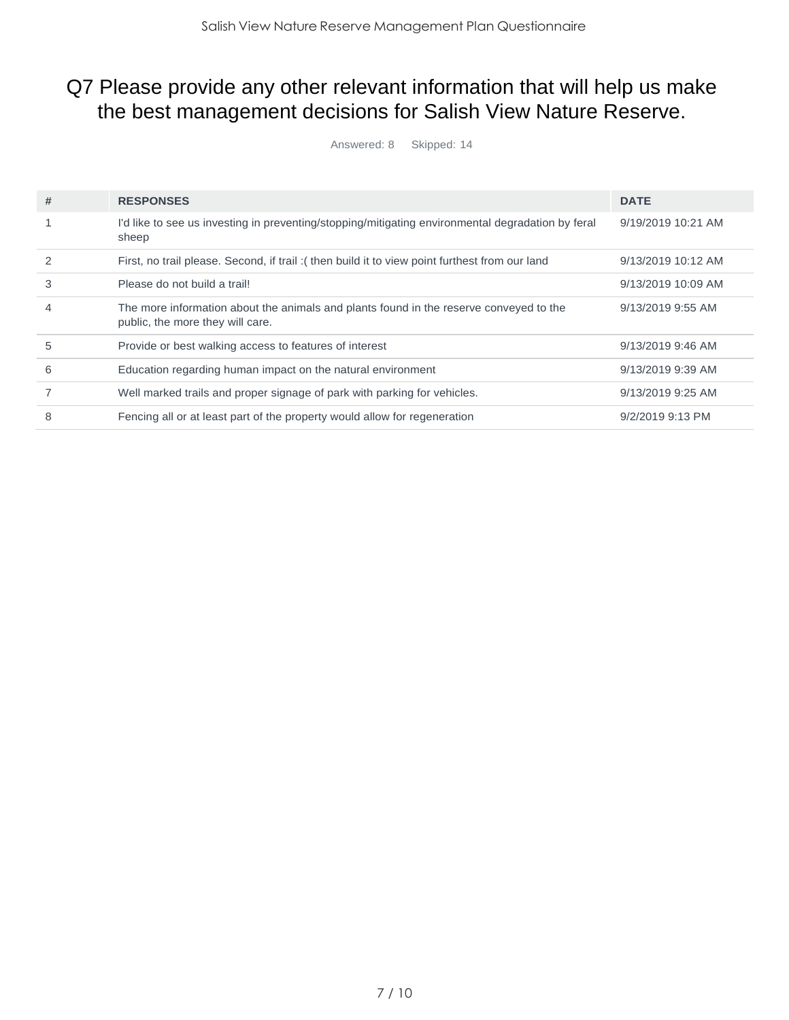# Q7 Please provide any other relevant information that will help us make the best management decisions for Salish View Nature Reserve.

Answered: 8 Skipped: 14

| # | <b>RESPONSES</b>                                                                                                           | <b>DATE</b>        |
|---|----------------------------------------------------------------------------------------------------------------------------|--------------------|
|   | I'd like to see us investing in preventing/stopping/mitigating environmental degradation by feral<br>sheep                 | 9/19/2019 10:21 AM |
| 2 | First, no trail please. Second, if trail: (then build it to view point furthest from our land                              | 9/13/2019 10:12 AM |
| 3 | Please do not build a trail!                                                                                               | 9/13/2019 10:09 AM |
| 4 | The more information about the animals and plants found in the reserve conveyed to the<br>public, the more they will care. | 9/13/2019 9:55 AM  |
| 5 | Provide or best walking access to features of interest                                                                     | 9/13/2019 9:46 AM  |
| 6 | Education regarding human impact on the natural environment                                                                | 9/13/2019 9:39 AM  |
|   | Well marked trails and proper signage of park with parking for vehicles.                                                   | 9/13/2019 9:25 AM  |
| 8 | Fencing all or at least part of the property would allow for regeneration                                                  | $9/2/2019$ 9:13 PM |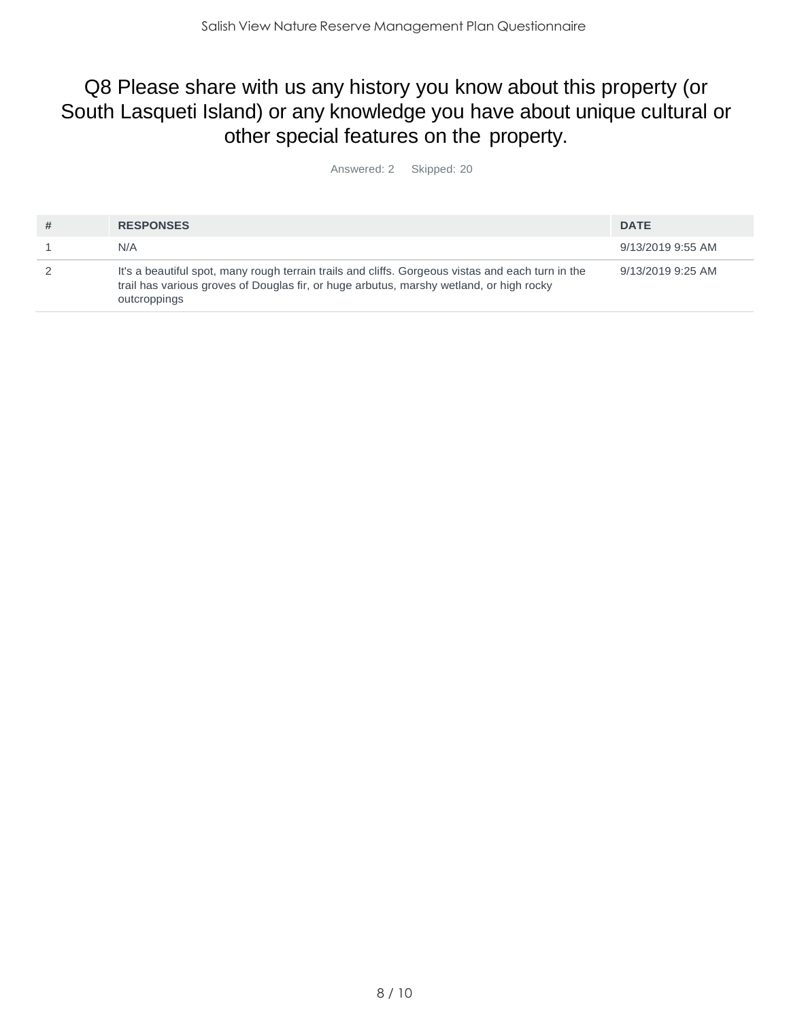### Q8 Please share with us any history you know about this property (or South Lasqueti Island) or any knowledge you have about unique cultural or other special features on the property.

Answered: 2 Skipped: 20

| <b>RESPONSES</b>                                                                                                                                                                                             | <b>DATE</b>       |
|--------------------------------------------------------------------------------------------------------------------------------------------------------------------------------------------------------------|-------------------|
| N/A                                                                                                                                                                                                          | 9/13/2019 9:55 AM |
| It's a beautiful spot, many rough terrain trails and cliffs. Gorgeous vistas and each turn in the<br>trail has various groves of Douglas fir, or huge arbutus, marshy wetland, or high rocky<br>outcroppings | 9/13/2019 9:25 AM |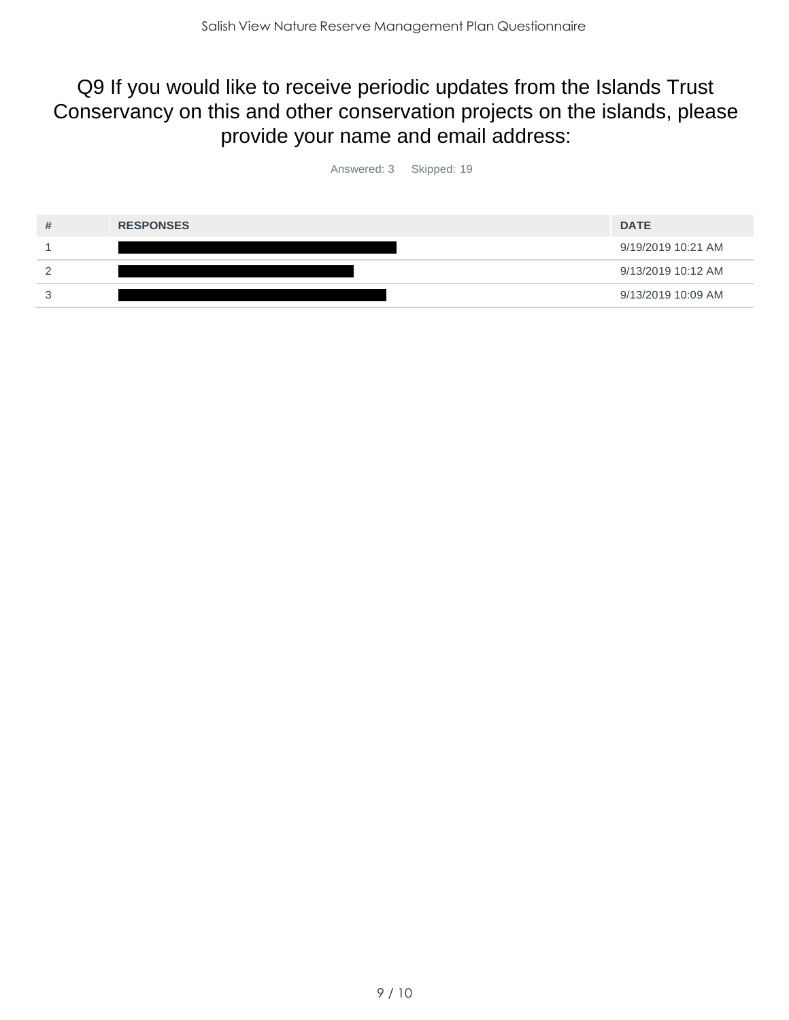### Q9 If you would like to receive periodic updates from the Islands Trust Conservancy on this and other conservation projects on the islands, please provide your name and email address:

Answered: 3 Skipped: 19

| <b>RESPONSES</b> | <b>DATE</b>        |
|------------------|--------------------|
|                  | 9/19/2019 10:21 AM |
|                  | 9/13/2019 10:12 AM |
|                  | 9/13/2019 10:09 AM |